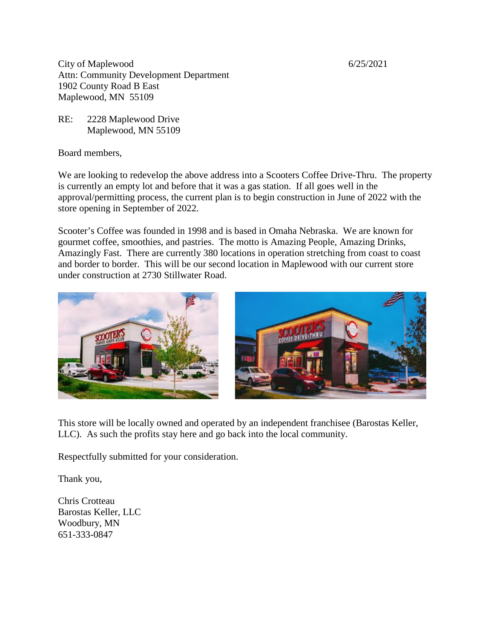City of Maplewood 6/25/2021 Attn: Community Development Department 1902 County Road B East Maplewood, MN 55109

RE: 2228 Maplewood Drive Maplewood, MN 55109

Board members,

We are looking to redevelop the above address into a Scooters Coffee Drive-Thru. The property is currently an empty lot and before that it was a gas station. If all goes well in the approval/permitting process, the current plan is to begin construction in June of 2022 with the store opening in September of 2022.

Scooter's Coffee was founded in 1998 and is based in Omaha Nebraska. We are known for gourmet coffee, smoothies, and pastries. The motto is Amazing People, Amazing Drinks, Amazingly Fast. There are currently 380 locations in operation stretching from coast to coast and border to border. This will be our second location in Maplewood with our current store under construction at 2730 Stillwater Road.



This store will be locally owned and operated by an independent franchisee (Barostas Keller, LLC). As such the profits stay here and go back into the local community.

Respectfully submitted for your consideration.

Thank you,

Chris Crotteau Barostas Keller, LLC Woodbury, MN 651-333-0847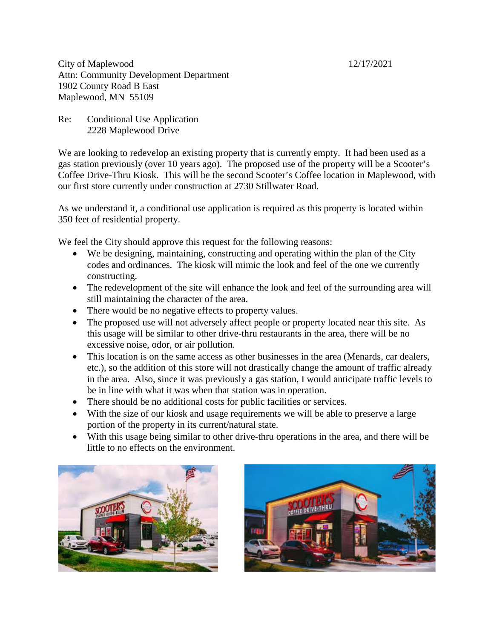City of Maplewood 12/17/2021 Attn: Community Development Department 1902 County Road B East Maplewood, MN 55109

Re: Conditional Use Application 2228 Maplewood Drive

We are looking to redevelop an existing property that is currently empty. It had been used as a gas station previously (over 10 years ago). The proposed use of the property will be a Scooter's Coffee Drive-Thru Kiosk. This will be the second Scooter's Coffee location in Maplewood, with our first store currently under construction at 2730 Stillwater Road.

As we understand it, a conditional use application is required as this property is located within 350 feet of residential property.

We feel the City should approve this request for the following reasons:

- We be designing, maintaining, constructing and operating within the plan of the City codes and ordinances. The kiosk will mimic the look and feel of the one we currently constructing.
- The redevelopment of the site will enhance the look and feel of the surrounding area will still maintaining the character of the area.
- There would be no negative effects to property values.
- The proposed use will not adversely affect people or property located near this site. As this usage will be similar to other drive-thru restaurants in the area, there will be no excessive noise, odor, or air pollution.
- This location is on the same access as other businesses in the area (Menards, car dealers, etc.), so the addition of this store will not drastically change the amount of traffic already in the area. Also, since it was previously a gas station, I would anticipate traffic levels to be in line with what it was when that station was in operation.
- There should be no additional costs for public facilities or services.
- With the size of our kiosk and usage requirements we will be able to preserve a large portion of the property in its current/natural state.
- With this usage being similar to other drive-thru operations in the area, and there will be little to no effects on the environment.



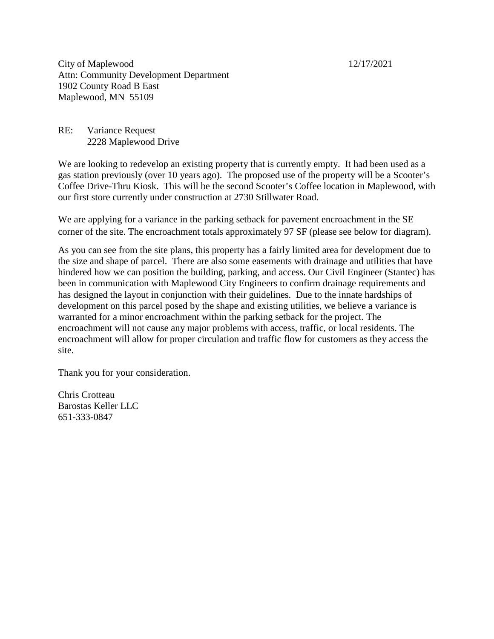City of Maplewood 12/17/2021 Attn: Community Development Department 1902 County Road B East Maplewood, MN 55109

RE: Variance Request 2228 Maplewood Drive

We are looking to redevelop an existing property that is currently empty. It had been used as a gas station previously (over 10 years ago). The proposed use of the property will be a Scooter's Coffee Drive-Thru Kiosk. This will be the second Scooter's Coffee location in Maplewood, with our first store currently under construction at 2730 Stillwater Road.

We are applying for a variance in the parking setback for pavement encroachment in the SE corner of the site. The encroachment totals approximately 97 SF (please see below for diagram).

As you can see from the site plans, this property has a fairly limited area for development due to the size and shape of parcel. There are also some easements with drainage and utilities that have hindered how we can position the building, parking, and access. Our Civil Engineer (Stantec) has been in communication with Maplewood City Engineers to confirm drainage requirements and has designed the layout in conjunction with their guidelines. Due to the innate hardships of development on this parcel posed by the shape and existing utilities, we believe a variance is warranted for a minor encroachment within the parking setback for the project. The encroachment will not cause any major problems with access, traffic, or local residents. The encroachment will allow for proper circulation and traffic flow for customers as they access the site.

Thank you for your consideration.

Chris Crotteau Barostas Keller LLC 651-333-0847